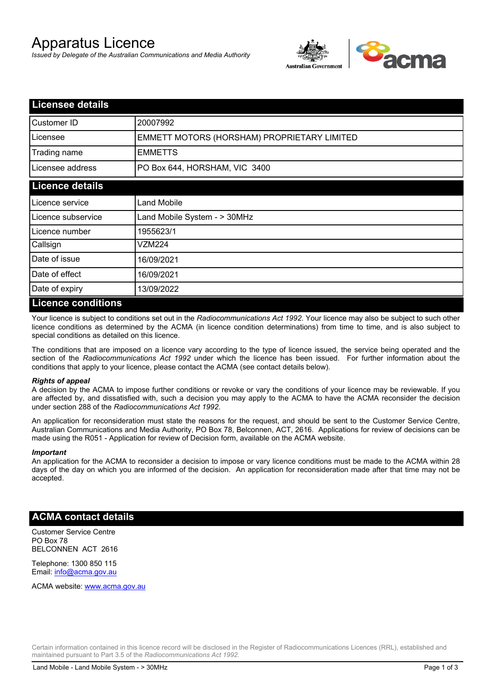# Apparatus Licence

*Issued by Delegate of the Australian Communications and Media Authority*



| <b>Licensee details</b> |                                             |
|-------------------------|---------------------------------------------|
| Customer ID             | 20007992                                    |
| Licensee                | EMMETT MOTORS (HORSHAM) PROPRIETARY LIMITED |
| Trading name            | <b>EMMETTS</b>                              |
| Licensee address        | PO Box 644, HORSHAM, VIC 3400               |
| <b>Licence details</b>  |                                             |
| Licence service         | <b>Land Mobile</b>                          |
| Licence subservice      | Land Mobile System - > 30MHz                |
| Licence number          | 1955623/1                                   |
| Callsign                | VZM224                                      |
| Date of issue           | 16/09/2021                                  |
| Date of effect          | 16/09/2021                                  |
| Date of expiry          | 13/09/2022                                  |
| Licance conditions      |                                             |

#### **Licence conditions**

Your licence is subject to conditions set out in the *Radiocommunications Act 1992*. Your licence may also be subject to such other licence conditions as determined by the ACMA (in licence condition determinations) from time to time, and is also subject to special conditions as detailed on this licence.

The conditions that are imposed on a licence vary according to the type of licence issued, the service being operated and the section of the *Radiocommunications Act 1992* under which the licence has been issued. For further information about the conditions that apply to your licence, please contact the ACMA (see contact details below).

#### *Rights of appeal*

A decision by the ACMA to impose further conditions or revoke or vary the conditions of your licence may be reviewable. If you are affected by, and dissatisfied with, such a decision you may apply to the ACMA to have the ACMA reconsider the decision under section 288 of the *Radiocommunications Act 1992*.

An application for reconsideration must state the reasons for the request, and should be sent to the Customer Service Centre, Australian Communications and Media Authority, PO Box 78, Belconnen, ACT, 2616. Applications for review of decisions can be made using the R051 - Application for review of Decision form, available on the ACMA website.

#### *Important*

An application for the ACMA to reconsider a decision to impose or vary licence conditions must be made to the ACMA within 28 days of the day on which you are informed of the decision. An application for reconsideration made after that time may not be accepted.

### **ACMA contact details**

Customer Service Centre PO Box 78 BELCONNEN ACT 2616

Telephone: 1300 850 115 Email: info@acma.gov.au

ACMA website: www.acma.gov.au

Certain information contained in this licence record will be disclosed in the Register of Radiocommunications Licences (RRL), established and maintained pursuant to Part 3.5 of the *Radiocommunications Act 1992.*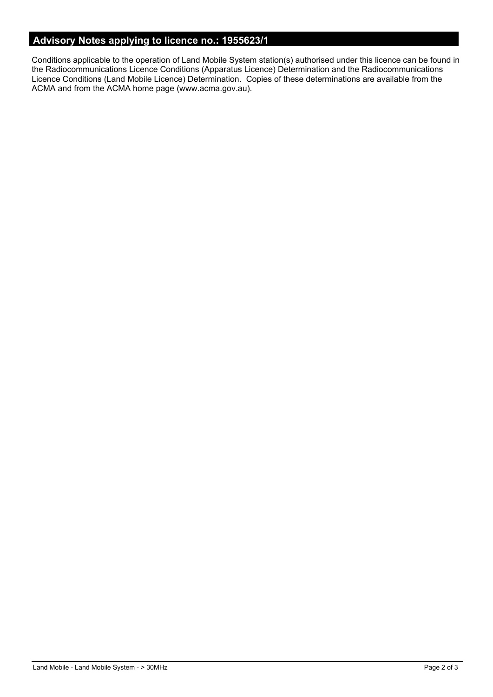## **Advisory Notes applying to licence no.: 1955623/1**

Conditions applicable to the operation of Land Mobile System station(s) authorised under this licence can be found in the Radiocommunications Licence Conditions (Apparatus Licence) Determination and the Radiocommunications Licence Conditions (Land Mobile Licence) Determination. Copies of these determinations are available from the ACMA and from the ACMA home page (www.acma.gov.au).